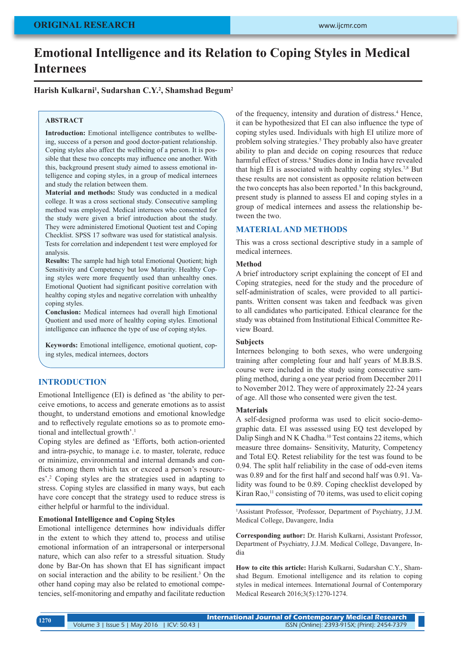# **Emotional Intelligence and its Relation to Coping Styles in Medical Internees**

# **Harish Kulkarni1 , Sudarshan C.Y.2 , Shamshad Begum2**

## **ABSTRACT**

**Introduction:** Emotional intelligence contributes to wellbeing, success of a person and good doctor-patient relationship. Coping styles also affect the wellbeing of a person. It is possible that these two concepts may influence one another. With this, background present study aimed to assess emotional intelligence and coping styles, in a group of medical internees and study the relation between them.

**Material and methods:** Study was conducted in a medical college. It was a cross sectional study. Consecutive sampling method was employed. Medical internees who consented for the study were given a brief introduction about the study. They were administered Emotional Quotient test and Coping Checklist. SPSS 17 software was used for statistical analysis. Tests for correlation and independent t test were employed for analysis.

**Results:** The sample had high total Emotional Quotient; high Sensitivity and Competency but low Maturity. Healthy Coping styles were more frequently used than unhealthy ones. Emotional Quotient had significant positive correlation with healthy coping styles and negative correlation with unhealthy coping styles.

**Conclusion:** Medical internees had overall high Emotional Quotient and used more of healthy coping styles. Emotional intelligence can influence the type of use of coping styles.

**Keywords:** Emotional intelligence, emotional quotient, coping styles, medical internees, doctors

## **INTRODUCTION**

Emotional Intelligence (EI) is defined as 'the ability to perceive emotions, to access and generate emotions as to assist thought, to understand emotions and emotional knowledge and to reflectively regulate emotions so as to promote emotional and intellectual growth'.<sup>1</sup>

Coping styles are defined as 'Efforts, both action-oriented and intra-psychic, to manage i.e. to master, tolerate, reduce or minimize, environmental and internal demands and conflicts among them which tax or exceed a person's resources'.2 Coping styles are the strategies used in adapting to stress. Coping styles are classified in many ways, but each have core concept that the strategy used to reduce stress is either helpful or harmful to the individual.

### **Emotional Intelligence and Coping Styles**

Emotional intelligence determines how individuals differ in the extent to which they attend to, process and utilise emotional information of an intrapersonal or interpersonal nature, which can also refer to a stressful situation. Study done by Bar-On has shown that EI has significant impact on social interaction and the ability to be resilient.3 On the other hand coping may also be related to emotional competencies, self-monitoring and empathy and facilitate reduction

of the frequency, intensity and duration of distress.<sup>4</sup> Hence, it can be hypothesized that EI can also influence the type of coping styles used. Individuals with high EI utilize more of problem solving strategies.<sup>5</sup> They probably also have greater ability to plan and decide on coping resources that reduce harmful effect of stress.<sup>6</sup> Studies done in India have revealed that high EI is associated with healthy coping styles.7,8 But these results are not consistent as opposite relation between the two concepts has also been reported.<sup>9</sup> In this background, present study is planned to assess EI and coping styles in a group of medical internees and assess the relationship between the two.

# **MATERIAL AND METHODS**

This was a cross sectional descriptive study in a sample of medical internees.

#### **Method**

A brief introductory script explaining the concept of EI and Coping strategies, need for the study and the procedure of self-administration of scales, were provided to all participants. Written consent was taken and feedback was given to all candidates who participated. Ethical clearance for the study was obtained from Institutional Ethical Committee Review Board.

## **Subjects**

Internees belonging to both sexes, who were undergoing training after completing four and half years of M.B.B.S. course were included in the study using consecutive sampling method, during a one year period from December 2011 to November 2012. They were of approximately 22-24 years of age. All those who consented were given the test.

#### **Materials**

A self-designed proforma was used to elicit socio-demographic data. EI was assessed using EQ test developed by Dalip Singh and N K Chadha.<sup>10</sup> Test contains 22 items, which measure three domains- Sensitivity, Maturity, Competency and Total EQ. Retest reliability for the test was found to be 0.94. The split half reliability in the case of odd-even items was 0.89 and for the first half and second half was 0.91. Validity was found to be 0.89. Coping checklist developed by Kiran Rao, $<sup>11</sup>$  consisting of 70 items, was used to elicit coping</sup>

1 Assistant Professor, 2 Professor, Department of Psychiatry, J.J.M. Medical College, Davangere, India

**Corresponding author:** Dr. Harish Kulkarni, Assistant Professor, Department of Psychiatry, J.J.M. Medical College, Davangere, India

**How to cite this article:** Harish Kulkarni, Sudarshan C.Y., Shamshad Begum. Emotional intelligence and its relation to coping styles in medical internees. International Journal of Contemporary Medical Research 2016;3(5):1270-1274.

**International Journal of Contemporary Medical Research**  Volume 3 | Issue 5 | May 2016 | ICV: 50.43 | ISSN (Online): 2393-915X; (Print): 2454-7379 **<sup>1270</sup>**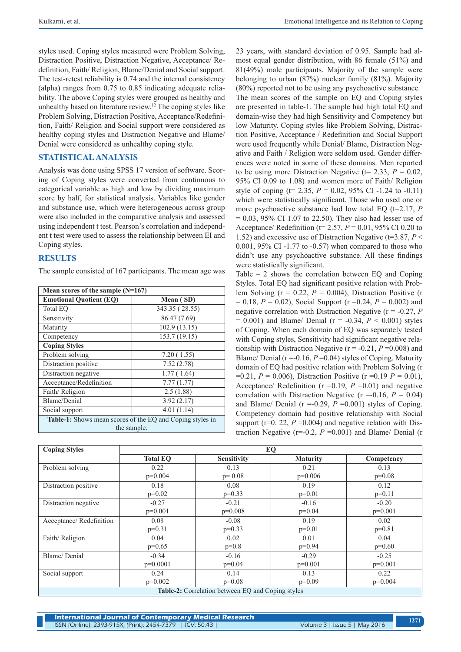styles used. Coping styles measured were Problem Solving, Distraction Positive, Distraction Negative, Acceptance/ Redefinition, Faith/ Religion, Blame/Denial and Social support. The test-retest reliability is 0.74 and the internal consistency (alpha) ranges from 0.75 to 0.85 indicating adequate reliability. The above Coping styles were grouped as healthy and unhealthy based on literature review.12 The coping styles like Problem Solving, Distraction Positive, Acceptance/Redefinition, Faith/ Religion and Social support were considered as healthy coping styles and Distraction Negative and Blame/ Denial were considered as unhealthy coping style.

# **STATISTICAL ANALYSIS**

Analysis was done using SPSS 17 version of software. Scoring of Coping styles were converted from continuous to categorical variable as high and low by dividing maximum score by half, for statistical analysis. Variables like gender and substance use, which were heterogeneous across group were also included in the comparative analysis and assessed using independent t test. Pearson's correlation and independent t test were used to assess the relationship between EI and Coping styles.

# **RESULTS**

The sample consisted of 167 participants. The mean age was

| Mean scores of the sample $(N=167)$                       |                |  |  |  |
|-----------------------------------------------------------|----------------|--|--|--|
| <b>Emotional Quotient (EQ)</b>                            | Mean (SD)      |  |  |  |
| <b>Total EO</b>                                           | 343.35 (28.55) |  |  |  |
| Sensitivity                                               | 86.47 (7.69)   |  |  |  |
| Maturity                                                  | 102.9 (13.15)  |  |  |  |
| Competency                                                | 153.7 (19.15)  |  |  |  |
| <b>Coping Styles</b>                                      |                |  |  |  |
| Problem solving                                           | 7.20(1.55)     |  |  |  |
| Distraction positive                                      | 7.52(2.78)     |  |  |  |
| Distraction negative                                      | 1.77(1.64)     |  |  |  |
| Acceptance/Redefinition                                   | 7.77(1.77)     |  |  |  |
| Faith/Religion                                            | 2.5(1.88)      |  |  |  |
| Blame/Denial                                              | 3.92(2.17)     |  |  |  |
| Social support                                            | 4.01(1.14)     |  |  |  |
| Table-1: Shows mean scores of the EQ and Coping styles in |                |  |  |  |
| the sample.                                               |                |  |  |  |

23 years, with standard deviation of 0.95. Sample had almost equal gender distribution, with 86 female (51%) and 81(49%) male participants. Majority of the sample were belonging to urban (87%) nuclear family (81%). Majority (80%) reported not to be using any psychoactive substance. The mean scores of the sample on EQ and Coping styles are presented in table-1. The sample had high total EQ and domain-wise they had high Sensitivity and Competency but low Maturity. Coping styles like Problem Solving, Distraction Positive, Acceptance / Redefinition and Social Support were used frequently while Denial/ Blame, Distraction Negative and Faith / Religion were seldom used. Gender differences were noted in some of these domains. Men reported to be using more Distraction Negative ( $t= 2.33, P = 0.02$ , 95% CI 0.09 to 1.08) and women more of Faith/ Religion style of coping ( $t= 2.35$ ,  $P = 0.02$ , 95% CI -1.24 to -0.11) which were statistically significant. Those who used one or more psychoactive substance had low total EQ (t=2.17, *P*  $= 0.03, 95\% \text{ CI } 1.07 \text{ to } 22.50$ . They also had lesser use of Acceptance/ Redefinition (t= 2.57, *P* = 0.01, 95% CI 0.20 to 1.52) and excessive use of Distraction Negative (t=3.87, *P* < 0.001, 95% CI -1.77 to -0.57) when compared to those who didn't use any psychoactive substance. All these findings were statistically significant.

Table – 2 shows the correlation between EQ and Coping Styles. Total EQ had significant positive relation with Problem Solving ( $r = 0.22$ ,  $P = 0.004$ ), Distraction Positive (r = 0.18, *P* = 0.02), Social Support (r =0.24, *P* = 0.002) and negative correlation with Distraction Negative (r = -0.27, *P*   $= 0.001$ ) and Blame/ Denial ( $r = -0.34$ ,  $P < 0.001$ ) styles of Coping. When each domain of EQ was separately tested with Coping styles, Sensitivity had significant negative relationship with Distraction Negative (r = -0.21, *P* =0.008) and Blame/ Denial  $(r = 0.16, P = 0.04)$  styles of Coping. Maturity domain of EQ had positive relation with Problem Solving (r =0.21, *P* = 0.006), Distraction Positive (r =0.19 *P* = 0.01), Acceptance/ Redefinition ( $r = 0.19$ ,  $P = 0.01$ ) and negative correlation with Distraction Negative ( $r = -0.16$ ,  $P = 0.04$ ) and Blame/ Denial ( $r = -0.29$ ,  $P = 0.001$ ) styles of Coping. Competency domain had positive relationship with Social support ( $r=0.22$ ,  $P=0.004$ ) and negative relation with Distraction Negative ( $r=0.2$ ,  $P=0.001$ ) and Blame/ Denial (r

| <b>Coping Styles</b>                                     | EQ              |                    |                 |            |  |
|----------------------------------------------------------|-----------------|--------------------|-----------------|------------|--|
|                                                          | <b>Total EO</b> | <b>Sensitivity</b> | <b>Maturity</b> | Competency |  |
| Problem solving                                          | 0.22            | 0.13               | 0.21            | 0.13       |  |
|                                                          | $p=0.004$       | $p=0.08$           | $p=0.006$       | $p=0.08$   |  |
| Distraction positive                                     | 0.18            | 0.08               | 0.19            | 0.12       |  |
|                                                          | $p=0.02$        | $p=0.33$           | $p=0.01$        | $p=0.11$   |  |
| Distraction negative                                     | $-0.27$         | $-0.21$            | $-0.16$         | $-0.20$    |  |
|                                                          | $p=0.001$       | $p=0.008$          | $p=0.04$        | $p=0.001$  |  |
| Acceptance/Redefinition                                  | 0.08            | $-0.08$            | 0.19            | 0.02       |  |
|                                                          | $p=0.31$        | $p=0.33$           | $p=0.01$        | $p=0.81$   |  |
| Faith/Religion                                           | 0.04            | 0.02               | 0.01            | 0.04       |  |
|                                                          | $p=0.65$        | $p=0.8$            | $p=0.94$        | $p=0.60$   |  |
| Blame/Denial                                             | $-0.34$         | $-0.16$            | $-0.29$         | $-0.25$    |  |
|                                                          | $p=0.0001$      | $p=0.04$           | $p=0.001$       | $p=0.001$  |  |
| Social support                                           | 0.24            | 0.14               | 0.13            | 0.22       |  |
|                                                          | $p=0.002$       | $p=0.08$           | $p=0.09$        | $p=0.004$  |  |
| <b>Table-2:</b> Correlation between EQ and Coping styles |                 |                    |                 |            |  |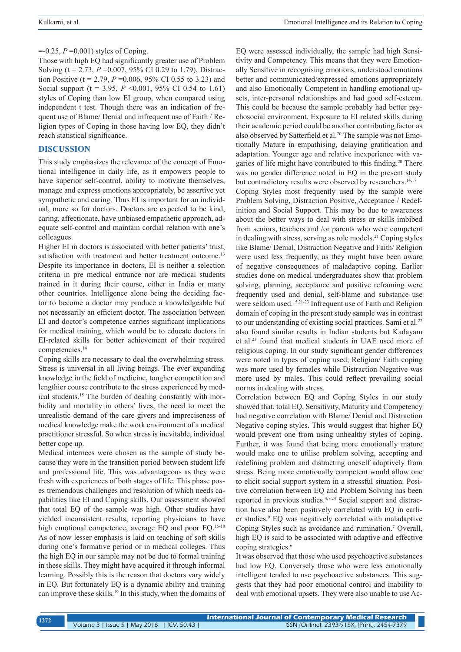## $= -0.25$ ,  $P = 0.001$ ) styles of Coping.

Those with high EQ had significantly greater use of Problem Solving (t = 2.73, *P* =0.007, 95% CI 0.29 to 1.79), Distraction Positive ( $t = 2.79$ ,  $P = 0.006$ , 95% CI 0.55 to 3.23) and Social support ( $t = 3.95$ ,  $P \le 0.001$ , 95% CI 0.54 to 1.61) styles of Coping than low EI group, when compared using independent t test. Though there was an indication of frequent use of Blame/ Denial and infrequent use of Faith / Religion types of Coping in those having low EQ, they didn't reach statistical significance.

# **DISCUSSION**

This study emphasizes the relevance of the concept of Emotional intelligence in daily life, as it empowers people to have superior self-control, ability to motivate themselves, manage and express emotions appropriately, be assertive yet sympathetic and caring. Thus EI is important for an individual, more so for doctors. Doctors are expected to be kind, caring, affectionate, have unbiased empathetic approach, adequate self-control and maintain cordial relation with one's colleagues.

Higher EI in doctors is associated with better patients' trust, satisfaction with treatment and better treatment outcome.<sup>13</sup> Despite its importance in doctors, EI is neither a selection criteria in pre medical entrance nor are medical students trained in it during their course, either in India or many other countries. Intelligence alone being the deciding factor to become a doctor may produce a knowledgeable but not necessarily an efficient doctor. The association between EI and doctor's competence carries significant implications for medical training, which would be to educate doctors in EI-related skills for better achievement of their required competencies.14

Coping skills are necessary to deal the overwhelming stress. Stress is universal in all living beings. The ever expanding knowledge in the field of medicine, tougher competition and lengthier course contribute to the stress experienced by medical students.15 The burden of dealing constantly with morbidity and mortality in others' lives, the need to meet the unrealistic demand of the care givers and impreciseness of medical knowledge make the work environment of a medical practitioner stressful. So when stress is inevitable, individual better cope up.

Medical internees were chosen as the sample of study because they were in the transition period between student life and professional life. This was advantageous as they were fresh with experiences of both stages of life. This phase poses tremendous challenges and resolution of which needs capabilities like EI and Coping skills. Our assessment showed that total EQ of the sample was high. Other studies have yielded inconsistent results, reporting physicians to have high emotional competence, average EQ and poor EQ.<sup>16-18</sup> As of now lesser emphasis is laid on teaching of soft skills during one's formative period or in medical colleges. Thus the high EQ in our sample may not be due to formal training in these skills. They might have acquired it through informal learning. Possibly this is the reason that doctors vary widely in EQ. But fortunately EQ is a dynamic ability and training can improve these skills.<sup>19</sup> In this study, when the domains of EQ were assessed individually, the sample had high Sensitivity and Competency. This means that they were Emotionally Sensitive in recognising emotions, understood emotions better and communicated/expressed emotions appropriately and also Emotionally Competent in handling emotional upsets, inter-personal relationships and had good self-esteem. This could be because the sample probably had better psychosocial environment. Exposure to EI related skills during their academic period could be another contributing factor as also observed by Satterfield et al.<sup>20</sup> The sample was not Emotionally Mature in empathising, delaying gratification and adaptation. Younger age and relative inexperience with vagaries of life might have contributed to this finding.<sup>20</sup> There was no gender difference noted in EQ in the present study but contradictory results were observed by researchers.<sup>14,17</sup>

Coping Styles most frequently used by the sample were Problem Solving, Distraction Positive, Acceptance / Redefinition and Social Support. This may be due to awareness about the better ways to deal with stress or skills imbibed from seniors, teachers and /or parents who were competent in dealing with stress, serving as role models.<sup>21</sup> Coping styles like Blame/ Denial, Distraction Negative and Faith/ Religion were used less frequently, as they might have been aware of negative consequences of maladaptive coping. Earlier studies done on medical undergraduates show that problem solving, planning, acceptance and positive reframing were frequently used and denial, self-blame and substance use were seldom used.<sup>15,21-23</sup> Infrequent use of Faith and Religion domain of coping in the present study sample was in contrast to our understanding of existing social practices. Sami et al.<sup>22</sup> also found similar results in Indian students but Kadayam et al.23 found that medical students in UAE used more of religious coping. In our study significant gender differences were noted in types of coping used; Religion/ Faith coping was more used by females while Distraction Negative was more used by males. This could reflect prevailing social norms in dealing with stress.

Correlation between EQ and Coping Styles in our study showed that, total EQ, Sensitivity, Maturity and Competency had negative correlation with Blame/ Denial and Distraction Negative coping styles. This would suggest that higher EQ would prevent one from using unhealthy styles of coping. Further, it was found that being more emotionally mature would make one to utilise problem solving, accepting and redefining problem and distracting oneself adaptively from stress. Being more emotionally competent would allow one to elicit social support system in a stressful situation. Positive correlation between EQ and Problem Solving has been reported in previous studies.4,7,24 Social support and distraction have also been positively correlated with EQ in earlier studies.<sup>9</sup> EQ was negatively correlated with maladaptive Coping Styles such as avoidance and rumination.7 Overall, high EQ is said to be associated with adaptive and effective coping strategies.<sup>6</sup>

It was observed that those who used psychoactive substances had low EQ. Conversely those who were less emotionally intelligent tended to use psychoactive substances. This suggests that they had poor emotional control and inability to deal with emotional upsets. They were also unable to use Ac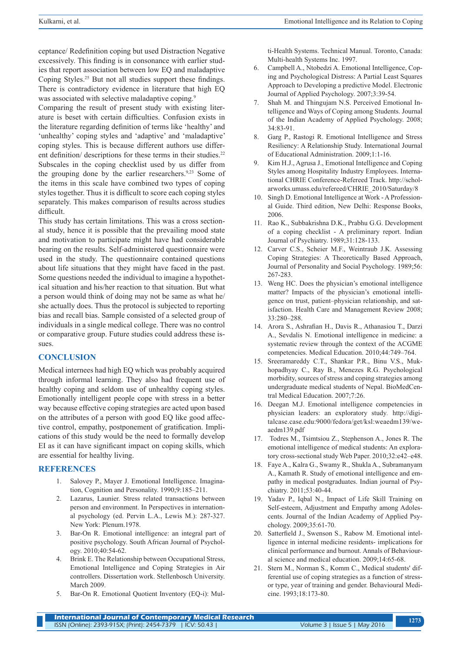ceptance/ Redefinition coping but used Distraction Negative excessively. This finding is in consonance with earlier studies that report association between low EQ and maladaptive Coping Styles.25 But not all studies support these findings. There is contradictory evidence in literature that high EQ was associated with selective maladaptive coping.<sup>9</sup>

Comparing the result of present study with existing literature is beset with certain difficulties. Confusion exists in the literature regarding definition of terms like 'healthy' and 'unhealthy' coping styles and 'adaptive' and 'maladaptive' coping styles. This is because different authors use different definition/ descriptions for these terms in their studies.<sup>22</sup> Subscales in the coping checklist used by us differ from the grouping done by the earlier researchers.<sup>9,23</sup> Some of the items in this scale have combined two types of coping styles together. Thus it is difficult to score each coping styles separately. This makes comparison of results across studies difficult.

This study has certain limitations. This was a cross sectional study, hence it is possible that the prevailing mood state and motivation to participate might have had considerable bearing on the results. Self-administered questionnaire were used in the study. The questionnaire contained questions about life situations that they might have faced in the past. Some questions needed the individual to imagine a hypothetical situation and his/her reaction to that situation. But what a person would think of doing may not be same as what he/ she actually does. Thus the protocol is subjected to reporting bias and recall bias. Sample consisted of a selected group of individuals in a single medical college. There was no control or comparative group. Future studies could address these issues.

## **CONCLUSION**

Medical internees had high EQ which was probably acquired through informal learning. They also had frequent use of healthy coping and seldom use of unhealthy coping styles. Emotionally intelligent people cope with stress in a better way because effective coping strategies are acted upon based on the attributes of a person with good EQ like good affective control, empathy, postponement of gratification. Implications of this study would be the need to formally develop EI as it can have significant impact on coping skills, which are essential for healthy living.

## **REFERENCES**

- 1. Salovey P., Mayer J. Emotional Intelligence. Imagination, Cognition and Personality. 1990;9:185–211.
- 2. Lazarus, Launier. Stress related transactions between person and environment. In Perspectives in international psychology (ed. Pervin L.A., Lewis M.): 287-327. New York: Plenum.1978.
- 3. Bar-On R. Emotional intelligence: an integral part of positive psychology. South African Journal of Psychology. 2010;40:54-62.
- 4. Brink E. The Relationship between Occupational Stress, Emotional Intelligence and Coping Strategies in Air controllers. Dissertation work. Stellenbosch University. March 2009.
- 5. Bar-On R. Emotional Quotient Inventory (EQ-i): Mul-

ti-Health Systems. Technical Manual. Toronto, Canada: Multi-health Systems Inc. 1997.

- 6. Campbell A., Ntobedzi A. Emotional Intelligence, Coping and Psychological Distress: A Partial Least Squares Approach to Developing a predictive Model. Electronic Journal of Applied Psychology. 2007;3:39-54.
- 7. Shah M. and Thingujam N.S. Perceived Emotional Intelligence and Ways of Coping among Students. Journal of the Indian Academy of Applied Psychology. 2008; 34:83-91.
- 8. Garg P., Rastogi R. Emotional Intelligence and Stress Resiliency: A Relationship Study. International Journal of Educational Administration. 2009;1:1-16.
- 9. Kim H.J., Agrusa J., Emotional Intelligence and Coping Styles among Hospitality Industry Employees. International CHRIE Conference-Refereed Track. http://scholarworks.umass.edu/refereed/CHRIE\_2010/Saturday/8
- 10. Singh D. Emotional Intelligence at Work A Professional Guide. Third edition, New Delhi: Response Books, 2006.
- 11. Rao K., Subbakrishna D.K., Prabhu G.G. Development of a coping checklist - A preliminary report. Indian Journal of Psychiatry. 1989;31:128-133.
- 12. Carver C.S., Scheier M.F., Weintraub J.K. Assessing Coping Strategies: A Theoretically Based Approach, Journal of Personality and Social Psychology. 1989;56: 267-283.
- 13. Weng HC. Does the physician's emotional intelligence matter? Impacts of the physician's emotional intelligence on trust, patient–physician relationship, and satisfaction. Health Care and Management Review 2008; 33:280–288.
- 14. Arora S., Ashrafian H., Davis R., Athanasiou T., Darzi A., Sevdalis N. Emotional intelligence in medicine: a systematic review through the context of the ACGME competencies. Medical Education. 2010;44:749–764.
- 15. Sreeramareddy C.T., Shankar P.R., Binu V.S., Mukhopadhyay C., Ray B., Menezes R.G. Psychological morbidity, sources of stress and coping strategies among undergraduate medical students of Nepal. BioMedCentral Medical Education. 2007;7:26.
- 16. Deegan M.J. Emotional intelligence competencies in physician leaders: an exploratory study*.* http://digitalcase.case.edu:9000/fedora/get/ksl:weaedm139/weaedm139.pdf
- 17. Todres M., Tsimtsiou Z., Stephenson A., Jones R. The emotional intelligence of medical students: An exploratory cross-sectional study Web Paper. 2010;32:e42–e48.
- 18. Faye A., Kalra G., Swamy R., Shukla A., Subramanyam A., Kamath R. Study of emotional intelligence and empathy in medical postgraduates. Indian journal of Psychiatry. 2011;53:40-44.
- 19. Yadav P., Iqbal N., Impact of Life Skill Training on Self-esteem, Adjustment and Empathy among Adolescents. Journal of the Indian Academy of Applied Psychology. 2009;35:61-70.
- 20. Satterfield J., Swenson S., Rabow M. Emotional intelligence in internal medicine residents- implications for clinical performance and burnout. Annals of Behavioural science and medical education. 2009;14:65-68.
- 21. Stern M., Norman S., Komm C., Medical students' differential use of coping strategies as a function of stressor type, year of training and gender. Behavioural Medicine. 1993;18:173-80.